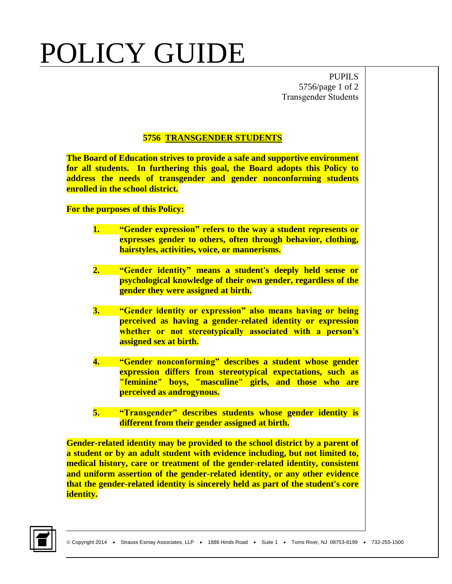## POLICY GUIDE

PUPILS 5756/page 1 of 2 Transgender Students

## **5756 TRANSGENDER STUDENTS**

**The Board of Education strives to provide a safe and supportive environment for all students. In furthering this goal, the Board adopts this Policy to address the needs of transgender and gender nonconforming students enrolled in the school district.**

## **For the purposes of this Policy:**

- **1. "Gender expression" refers to the way a student represents or expresses gender to others, often through behavior, clothing, hairstyles, activities, voice, or mannerisms.**
- **2. "Gender identity" means a student's deeply held sense or psychological knowledge of their own gender, regardless of the gender they were assigned at birth.**
- **3. "Gender identity or expression" also means having or being perceived as having a gender-related identity or expression whether or not stereotypically associated with a person's assigned sex at birth.**
- **4. "Gender nonconforming" describes a student whose gender expression differs from stereotypical expectations, such as "feminine" boys, "masculine" girls, and those who are perceived as androgynous.**
- **5. "Transgender" describes students whose gender identity is different from their gender assigned at birth.**

**Gender-related identity may be provided to the school district by a parent of a student or by an adult student with evidence including, but not limited to, medical history, care or treatment of the gender-related identity, consistent and uniform assertion of the gender-related identity, or any other evidence that the gender-related identity is sincerely held as part of the student's core identity.**